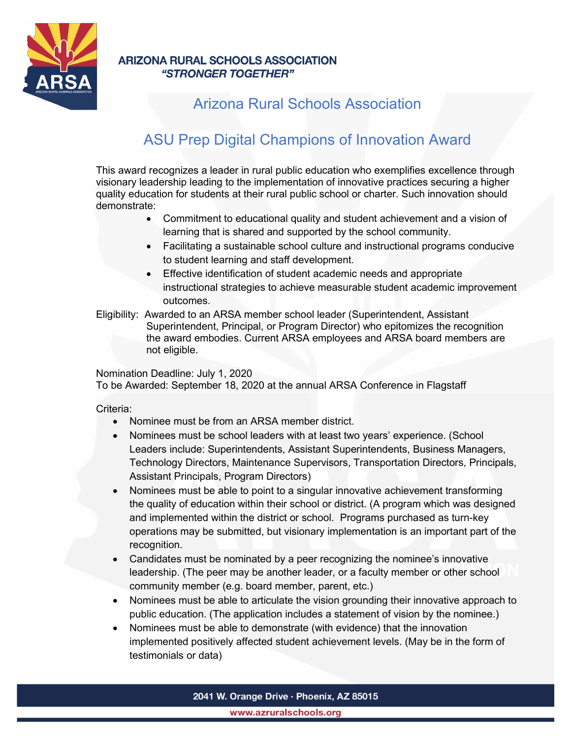

### **ARIZONA RURAL SCHOOLS ASSOCIATION** "STRONGER TOGETHER"

## Arizona Rural Schools Association

# ASU Prep Digital Champions of Innovation Award

This award recognizes a leader in rural public education who exemplifies excellence through visionary leadership leading to the implementation of innovative practices securing a higher quality education for students at their rural public school or charter. Such innovation should demonstrate:

- Commitment to educational quality and student achievement and a vision of learning that is shared and supported by the school community.
- Facilitating a sustainable school culture and instructional programs conducive to student learning and staff development.
- Effective identification of student academic needs and appropriate instructional strategies to achieve measurable student academic improvement outcomes.
- Eligibility: Awarded to an ARSA member school leader (Superintendent, Assistant Superintendent, Principal, or Program Director) who epitomizes the recognition the award embodies. Current ARSA employees and ARSA board members are not eligible.

Nomination Deadline: July 1, 2020

To be Awarded: September 18, 2020 at the annual ARSA Conference in Flagstaff

#### Criteria:

- Nominee must be from an ARSA member district.
- Nominees must be school leaders with at least two years' experience. (School Leaders include: Superintendents, Assistant Superintendents, Business Managers, Technology Directors, Maintenance Supervisors, Transportation Directors, Principals, Assistant Principals, Program Directors)
- Nominees must be able to point to a singular innovative achievement transforming the quality of education within their school or district. (A program which was designed and implemented within the district or school. Programs purchased as turn-key operations may be submitted, but visionary implementation is an important part of the recognition.
- Candidates must be nominated by a peer recognizing the nominee's innovative leadership. (The peer may be another leader, or a faculty member or other school community member (e.g. board member, parent, etc.)
- Nominees must be able to articulate the vision grounding their innovative approach to public education. (The application includes a statement of vision by the nominee.)
- Nominees must be able to demonstrate (with evidence) that the innovation implemented positively affected student achievement levels. (May be in the form of testimonials or data)

2041 W. Orange Drive · Phoenix, AZ 85015

www.azruralschools.org